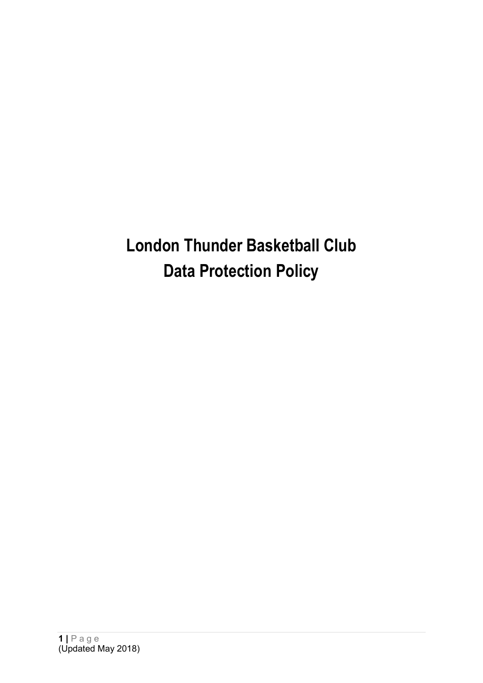**London Thunder Basketball Club Data Protection Policy**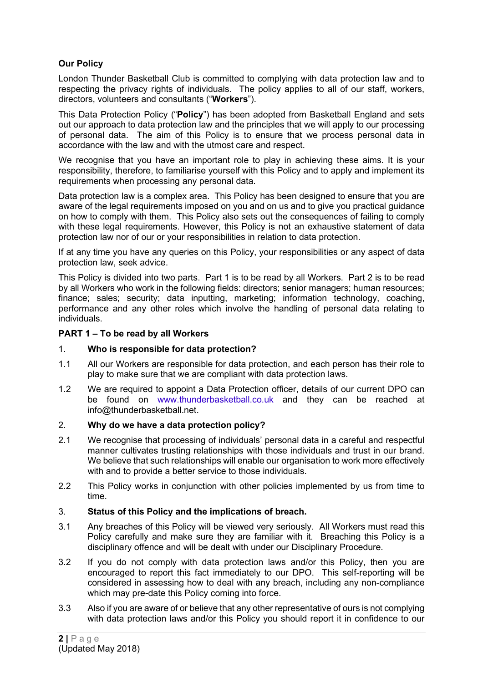# **Our Policy**

London Thunder Basketball Club is committed to complying with data protection law and to respecting the privacy rights of individuals. The policy applies to all of our staff, workers, directors, volunteers and consultants ("**Workers**").

This Data Protection Policy ("**Policy**") has been adopted from Basketball England and sets out our approach to data protection law and the principles that we will apply to our processing of personal data. The aim of this Policy is to ensure that we process personal data in accordance with the law and with the utmost care and respect.

We recognise that you have an important role to play in achieving these aims. It is your responsibility, therefore, to familiarise yourself with this Policy and to apply and implement its requirements when processing any personal data.

Data protection law is a complex area. This Policy has been designed to ensure that you are aware of the legal requirements imposed on you and on us and to give you practical guidance on how to comply with them. This Policy also sets out the consequences of failing to comply with these legal requirements. However, this Policy is not an exhaustive statement of data protection law nor of our or your responsibilities in relation to data protection.

If at any time you have any queries on this Policy, your responsibilities or any aspect of data protection law, seek advice.

This Policy is divided into two parts. Part 1 is to be read by all Workers. Part 2 is to be read by all Workers who work in the following fields: directors; senior managers; human resources; finance; sales; security; data inputting, marketing; information technology, coaching, performance and any other roles which involve the handling of personal data relating to individuals.

### **PART 1 – To be read by all Workers**

# 1. **Who is responsible for data protection?**

- 1.1 All our Workers are responsible for data protection, and each person has their role to play to make sure that we are compliant with data protection laws.
- 1.2 We are required to appoint a Data Protection officer, details of our current DPO can be found on [www.thunderbasketball.co.uk](http://www.thunderbasketball.co.uk/) and they can be reached at info@thunderbasketball.net.

### 2. **Why do we have a data protection policy?**

- 2.1 We recognise that processing of individuals' personal data in a careful and respectful manner cultivates trusting relationships with those individuals and trust in our brand. We believe that such relationships will enable our organisation to work more effectively with and to provide a better service to those individuals.
- 2.2 This Policy works in conjunction with other policies implemented by us from time to time.

#### 3. **Status of this Policy and the implications of breach.**

- 3.1 Any breaches of this Policy will be viewed very seriously. All Workers must read this Policy carefully and make sure they are familiar with it. Breaching this Policy is a disciplinary offence and will be dealt with under our Disciplinary Procedure.
- 3.2 If you do not comply with data protection laws and/or this Policy, then you are encouraged to report this fact immediately to our DPO. This self-reporting will be considered in assessing how to deal with any breach, including any non-compliance which may pre-date this Policy coming into force.
- 3.3 Also if you are aware of or believe that any other representative of ours is not complying with data protection laws and/or this Policy you should report it in confidence to our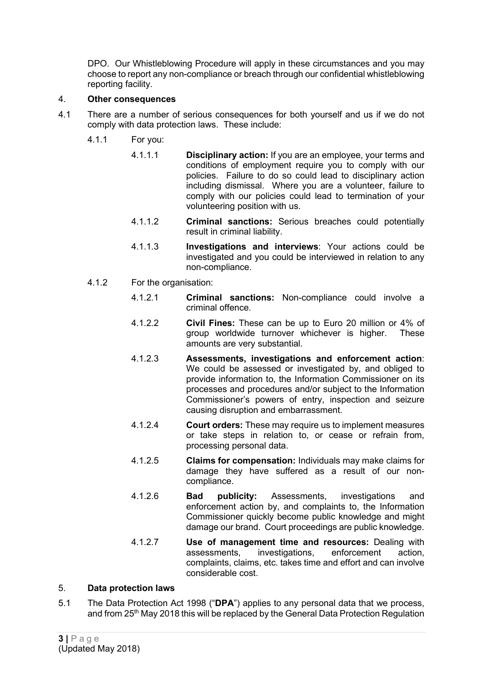DPO. Our Whistleblowing Procedure will apply in these circumstances and you may choose to report any non-compliance or breach through our confidential whistleblowing reporting facility.

# 4. **Other consequences**

- 4.1 There are a number of serious consequences for both yourself and us if we do not comply with data protection laws. These include:
	- 4.1.1 For you:
		- 4.1.1.1 **Disciplinary action:** If you are an employee, your terms and conditions of employment require you to comply with our policies. Failure to do so could lead to disciplinary action including dismissal. Where you are a volunteer, failure to comply with our policies could lead to termination of your volunteering position with us.
		- 4.1.1.2 **Criminal sanctions:** Serious breaches could potentially result in criminal liability.
		- 4.1.1.3 **Investigations and interviews**: Your actions could be investigated and you could be interviewed in relation to any non-compliance.
	- 4.1.2 For the organisation:
		- 4.1.2.1 **Criminal sanctions:** Non-compliance could involve a criminal offence.
		- 4.1.2.2 **Civil Fines:** These can be up to Euro 20 million or 4% of group worldwide turnover whichever is higher. amounts are very substantial.
		- 4.1.2.3 **Assessments, investigations and enforcement action**: We could be assessed or investigated by, and obliged to provide information to, the Information Commissioner on its processes and procedures and/or subject to the Information Commissioner's powers of entry, inspection and seizure causing disruption and embarrassment.
		- 4.1.2.4 **Court orders:** These may require us to implement measures or take steps in relation to, or cease or refrain from, processing personal data.
		- 4.1.2.5 **Claims for compensation:** Individuals may make claims for damage they have suffered as a result of our noncompliance.
		- 4.1.2.6 **Bad publicity:** Assessments, investigations and enforcement action by, and complaints to, the Information Commissioner quickly become public knowledge and might damage our brand. Court proceedings are public knowledge.
		- 4.1.2.7 **Use of management time and resources:** Dealing with assessments, investigations, enforcement action, complaints, claims, etc. takes time and effort and can involve considerable cost.

# 5. **Data protection laws**

5.1 The Data Protection Act 1998 ("**DPA**") applies to any personal data that we process, and from 25<sup>th</sup> May 2018 this will be replaced by the General Data Protection Regulation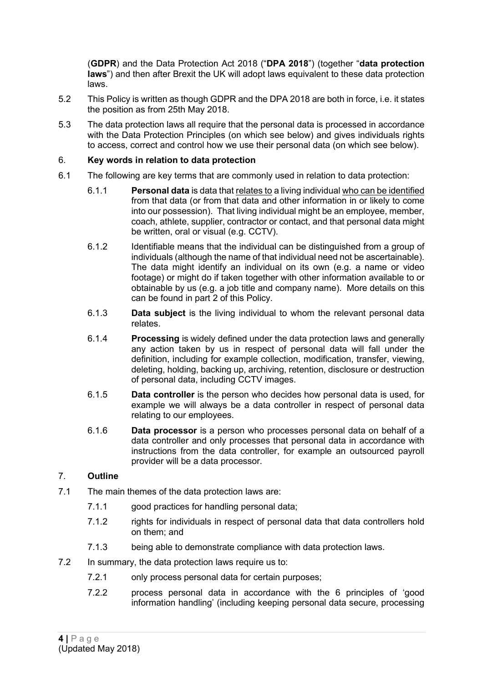(**GDPR**) and the Data Protection Act 2018 ("**DPA 2018**") (together "**data protection laws**") and then after Brexit the UK will adopt laws equivalent to these data protection laws.

- 5.2 This Policy is written as though GDPR and the DPA 2018 are both in force, i.e. it states the position as from 25th May 2018.
- 5.3 The data protection laws all require that the personal data is processed in accordance with the Data Protection Principles (on which see below) and gives individuals rights to access, correct and control how we use their personal data (on which see below).

### 6. **Key words in relation to data protection**

- 6.1 The following are key terms that are commonly used in relation to data protection:
	- 6.1.1 **Personal data** is data that relates to a living individual who can be identified from that data (or from that data and other information in or likely to come into our possession). That living individual might be an employee, member, coach, athlete, supplier, contractor or contact, and that personal data might be written, oral or visual (e.g. CCTV).
	- 6.1.2 Identifiable means that the individual can be distinguished from a group of individuals (although the name of that individual need not be ascertainable). The data might identify an individual on its own (e.g. a name or video footage) or might do if taken together with other information available to or obtainable by us (e.g. a job title and company name). More details on this can be found in part 2 of this Policy.
	- 6.1.3 **Data subject** is the living individual to whom the relevant personal data relates.
	- 6.1.4 **Processing** is widely defined under the data protection laws and generally any action taken by us in respect of personal data will fall under the definition, including for example collection, modification, transfer, viewing, deleting, holding, backing up, archiving, retention, disclosure or destruction of personal data, including CCTV images.
	- 6.1.5 **Data controller** is the person who decides how personal data is used, for example we will always be a data controller in respect of personal data relating to our employees.
	- 6.1.6 **Data processor** is a person who processes personal data on behalf of a data controller and only processes that personal data in accordance with instructions from the data controller, for example an outsourced payroll provider will be a data processor.

# 7. **Outline**

- 7.1 The main themes of the data protection laws are:
	- 7.1.1 good practices for handling personal data;
	- 7.1.2 rights for individuals in respect of personal data that data controllers hold on them; and
	- 7.1.3 being able to demonstrate compliance with data protection laws.
- 7.2 In summary, the data protection laws require us to:
	- 7.2.1 only process personal data for certain purposes;
	- 7.2.2 process personal data in accordance with the 6 principles of 'good information handling' (including keeping personal data secure, processing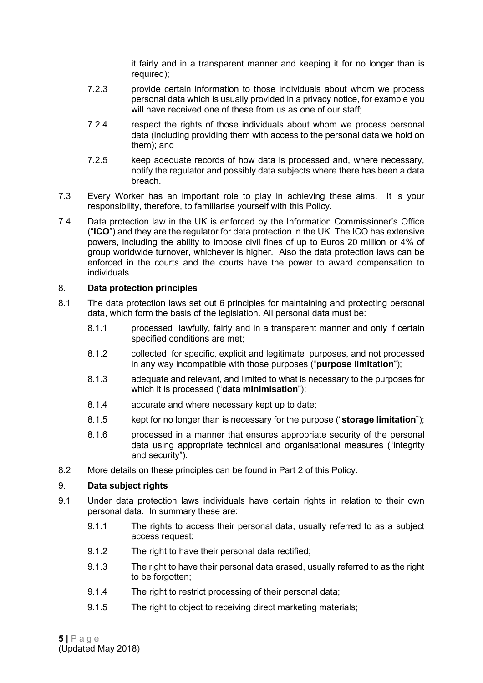it fairly and in a transparent manner and keeping it for no longer than is required);

- 7.2.3 provide certain information to those individuals about whom we process personal data which is usually provided in a privacy notice, for example you will have received one of these from us as one of our staff:
- 7.2.4 respect the rights of those individuals about whom we process personal data (including providing them with access to the personal data we hold on them); and
- 7.2.5 keep adequate records of how data is processed and, where necessary, notify the regulator and possibly data subjects where there has been a data breach.
- 7.3 Every Worker has an important role to play in achieving these aims. It is your responsibility, therefore, to familiarise yourself with this Policy.
- 7.4 Data protection law in the UK is enforced by the Information Commissioner's Office ("**ICO**") and they are the regulator for data protection in the UK. The ICO has extensive powers, including the ability to impose civil fines of up to Euros 20 million or 4% of group worldwide turnover, whichever is higher. Also the data protection laws can be enforced in the courts and the courts have the power to award compensation to individuals.

# 8. **Data protection principles**

- 8.1 The data protection laws set out 6 principles for maintaining and protecting personal data, which form the basis of the legislation. All personal data must be:
	- 8.1.1 processed lawfully, fairly and in a transparent manner and only if certain specified conditions are met;
	- 8.1.2 collected for specific, explicit and legitimate purposes, and not processed in any way incompatible with those purposes ("**purpose limitation**");
	- 8.1.3 adequate and relevant, and limited to what is necessary to the purposes for which it is processed ("**data minimisation**");
	- 8.1.4 accurate and where necessary kept up to date;
	- 8.1.5 kept for no longer than is necessary for the purpose ("**storage limitation**");
	- 8.1.6 processed in a manner that ensures appropriate security of the personal data using appropriate technical and organisational measures ("integrity and security").
- 8.2 More details on these principles can be found in Part 2 of this Policy.

# 9. **Data subject rights**

- 9.1 Under data protection laws individuals have certain rights in relation to their own personal data. In summary these are:
	- 9.1.1 The rights to access their personal data, usually referred to as a subject access request;
	- 9.1.2 The right to have their personal data rectified;
	- 9.1.3 The right to have their personal data erased, usually referred to as the right to be forgotten;
	- 9.1.4 The right to restrict processing of their personal data:
	- 9.1.5 The right to object to receiving direct marketing materials;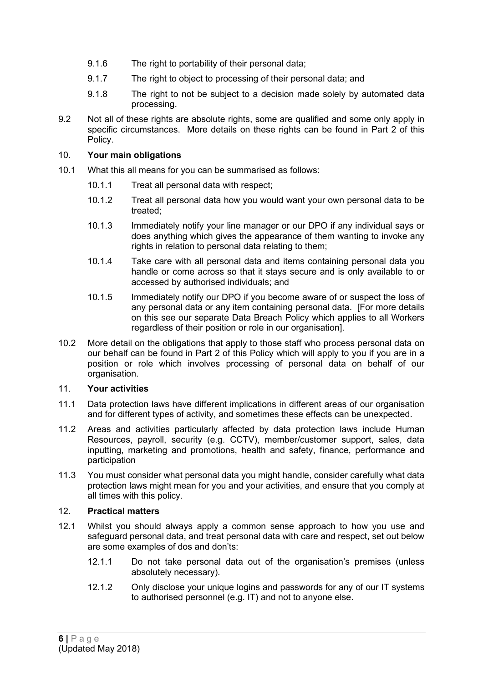- 9.1.6 The right to portability of their personal data;
- 9.1.7 The right to object to processing of their personal data; and
- 9.1.8 The right to not be subject to a decision made solely by automated data processing.
- 9.2 Not all of these rights are absolute rights, some are qualified and some only apply in specific circumstances. More details on these rights can be found in Part 2 of this Policy.

### 10. **Your main obligations**

- 10.1 What this all means for you can be summarised as follows:
	- 10.1.1 Treat all personal data with respect;
	- 10.1.2 Treat all personal data how you would want your own personal data to be treated;
	- 10.1.3 Immediately notify your line manager or our DPO if any individual says or does anything which gives the appearance of them wanting to invoke any rights in relation to personal data relating to them;
	- 10.1.4 Take care with all personal data and items containing personal data you handle or come across so that it stays secure and is only available to or accessed by authorised individuals; and
	- 10.1.5 Immediately notify our DPO if you become aware of or suspect the loss of any personal data or any item containing personal data. [For more details on this see our separate Data Breach Policy which applies to all Workers regardless of their position or role in our organisation].
- 10.2 More detail on the obligations that apply to those staff who process personal data on our behalf can be found in Part 2 of this Policy which will apply to you if you are in a position or role which involves processing of personal data on behalf of our organisation.

#### 11. **Your activities**

- 11.1 Data protection laws have different implications in different areas of our organisation and for different types of activity, and sometimes these effects can be unexpected.
- 11.2 Areas and activities particularly affected by data protection laws include Human Resources, payroll, security (e.g. CCTV), member/customer support, sales, data inputting, marketing and promotions, health and safety, finance, performance and participation
- 11.3 You must consider what personal data you might handle, consider carefully what data protection laws might mean for you and your activities, and ensure that you comply at all times with this policy.

### 12. **Practical matters**

- 12.1 Whilst you should always apply a common sense approach to how you use and safeguard personal data, and treat personal data with care and respect, set out below are some examples of dos and don'ts:
	- 12.1.1 Do not take personal data out of the organisation's premises (unless absolutely necessary).
	- 12.1.2 Only disclose your unique logins and passwords for any of our IT systems to authorised personnel (e.g. IT) and not to anyone else.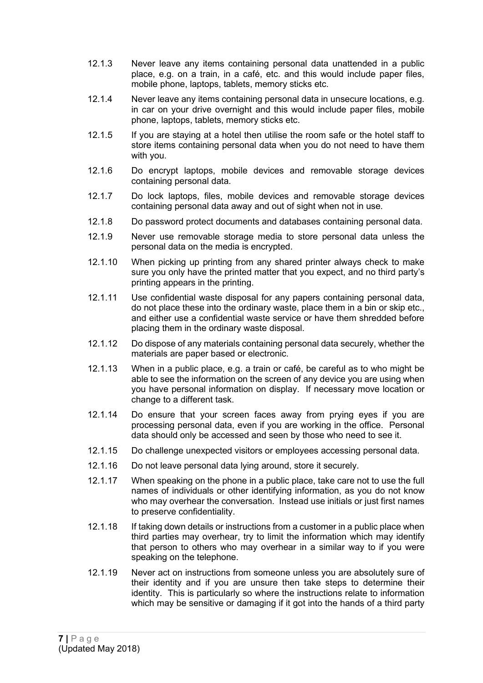- 12.1.3 Never leave any items containing personal data unattended in a public place, e.g. on a train, in a café, etc. and this would include paper files, mobile phone, laptops, tablets, memory sticks etc.
- 12.1.4 Never leave any items containing personal data in unsecure locations, e.g. in car on your drive overnight and this would include paper files, mobile phone, laptops, tablets, memory sticks etc.
- 12.1.5 If you are staying at a hotel then utilise the room safe or the hotel staff to store items containing personal data when you do not need to have them with you.
- 12.1.6 Do encrypt laptops, mobile devices and removable storage devices containing personal data.
- 12.1.7 Do lock laptops, files, mobile devices and removable storage devices containing personal data away and out of sight when not in use.
- 12.1.8 Do password protect documents and databases containing personal data.
- 12.1.9 Never use removable storage media to store personal data unless the personal data on the media is encrypted.
- 12.1.10 When picking up printing from any shared printer always check to make sure you only have the printed matter that you expect, and no third party's printing appears in the printing.
- 12.1.11 Use confidential waste disposal for any papers containing personal data, do not place these into the ordinary waste, place them in a bin or skip etc., and either use a confidential waste service or have them shredded before placing them in the ordinary waste disposal.
- 12.1.12 Do dispose of any materials containing personal data securely, whether the materials are paper based or electronic.
- 12.1.13 When in a public place, e.g. a train or café, be careful as to who might be able to see the information on the screen of any device you are using when you have personal information on display. If necessary move location or change to a different task.
- 12.1.14 Do ensure that your screen faces away from prying eyes if you are processing personal data, even if you are working in the office. Personal data should only be accessed and seen by those who need to see it.
- 12.1.15 Do challenge unexpected visitors or employees accessing personal data.
- 12.1.16 Do not leave personal data lying around, store it securely.
- 12.1.17 When speaking on the phone in a public place, take care not to use the full names of individuals or other identifying information, as you do not know who may overhear the conversation. Instead use initials or just first names to preserve confidentiality.
- 12.1.18 If taking down details or instructions from a customer in a public place when third parties may overhear, try to limit the information which may identify that person to others who may overhear in a similar way to if you were speaking on the telephone.
- 12.1.19 Never act on instructions from someone unless you are absolutely sure of their identity and if you are unsure then take steps to determine their identity. This is particularly so where the instructions relate to information which may be sensitive or damaging if it got into the hands of a third party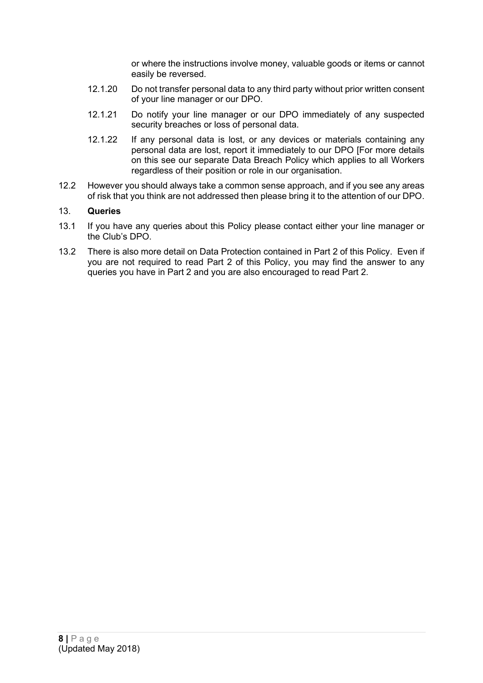or where the instructions involve money, valuable goods or items or cannot easily be reversed.

- 12.1.20 Do not transfer personal data to any third party without prior written consent of your line manager or our DPO.
- 12.1.21 Do notify your line manager or our DPO immediately of any suspected security breaches or loss of personal data.
- 12.1.22 If any personal data is lost, or any devices or materials containing any personal data are lost, report it immediately to our DPO [For more details on this see our separate Data Breach Policy which applies to all Workers regardless of their position or role in our organisation.
- 12.2 However you should always take a common sense approach, and if you see any areas of risk that you think are not addressed then please bring it to the attention of our DPO.

### 13. **Queries**

- 13.1 If you have any queries about this Policy please contact either your line manager or the Club's DPO.
- 13.2 There is also more detail on Data Protection contained in Part 2 of this Policy. Even if you are not required to read Part 2 of this Policy, you may find the answer to any queries you have in Part 2 and you are also encouraged to read Part 2.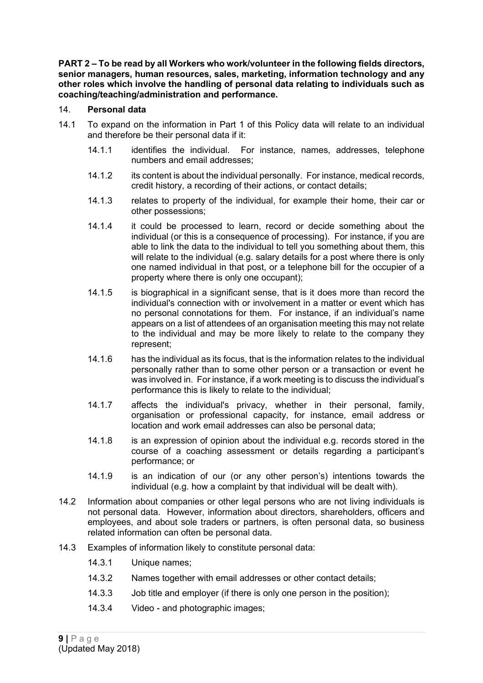**PART 2 – To be read by all Workers who work/volunteer in the following fields directors, senior managers, human resources, sales, marketing, information technology and any other roles which involve the handling of personal data relating to individuals such as coaching/teaching/administration and performance.**

### 14. **Personal data**

- 14.1 To expand on the information in Part 1 of this Policy data will relate to an individual and therefore be their personal data if it:
	- 14.1.1 identifies the individual. For instance, names, addresses, telephone numbers and email addresses;
	- 14.1.2 its content is about the individual personally. For instance, medical records, credit history, a recording of their actions, or contact details;
	- 14.1.3 relates to property of the individual, for example their home, their car or other possessions;
	- 14.1.4 it could be processed to learn, record or decide something about the individual (or this is a consequence of processing). For instance, if you are able to link the data to the individual to tell you something about them, this will relate to the individual (e.g. salary details for a post where there is only one named individual in that post, or a telephone bill for the occupier of a property where there is only one occupant);
	- 14.1.5 is biographical in a significant sense, that is it does more than record the individual's connection with or involvement in a matter or event which has no personal connotations for them. For instance, if an individual's name appears on a list of attendees of an organisation meeting this may not relate to the individual and may be more likely to relate to the company they represent;
	- 14.1.6 has the individual as its focus, that is the information relates to the individual personally rather than to some other person or a transaction or event he was involved in. For instance, if a work meeting is to discuss the individual's performance this is likely to relate to the individual;
	- 14.1.7 affects the individual's privacy, whether in their personal, family, organisation or professional capacity, for instance, email address or location and work email addresses can also be personal data;
	- 14.1.8 is an expression of opinion about the individual e.g. records stored in the course of a coaching assessment or details regarding a participant's performance; or
	- 14.1.9 is an indication of our (or any other person's) intentions towards the individual (e.g. how a complaint by that individual will be dealt with).
- 14.2 Information about companies or other legal persons who are not living individuals is not personal data. However, information about directors, shareholders, officers and employees, and about sole traders or partners, is often personal data, so business related information can often be personal data.
- 14.3 Examples of information likely to constitute personal data:
	- 14.3.1 Unique names;
	- 14.3.2 Names together with email addresses or other contact details;
	- 14.3.3 Job title and employer (if there is only one person in the position);
	- 14.3.4 Video and photographic images;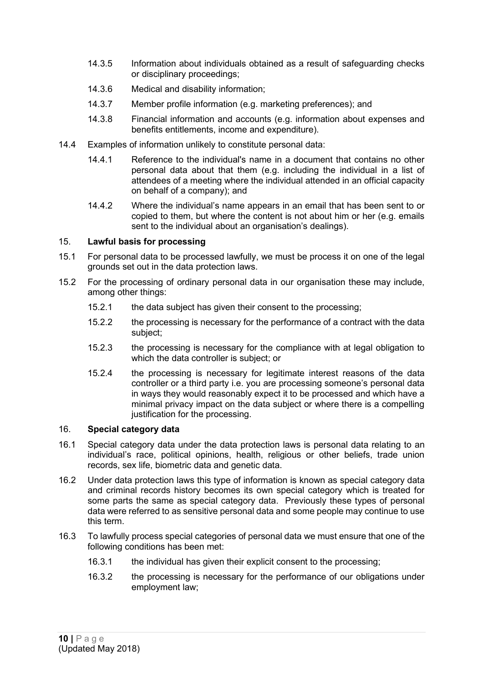- 14.3.5 Information about individuals obtained as a result of safeguarding checks or disciplinary proceedings;
- 14.3.6 Medical and disability information;
- 14.3.7 Member profile information (e.g. marketing preferences); and
- 14.3.8 Financial information and accounts (e.g. information about expenses and benefits entitlements, income and expenditure).
- 14.4 Examples of information unlikely to constitute personal data:
	- 14.4.1 Reference to the individual's name in a document that contains no other personal data about that them (e.g. including the individual in a list of attendees of a meeting where the individual attended in an official capacity on behalf of a company); and
	- 14.4.2 Where the individual's name appears in an email that has been sent to or copied to them, but where the content is not about him or her (e.g. emails sent to the individual about an organisation's dealings).

#### 15. **Lawful basis for processing**

- 15.1 For personal data to be processed lawfully, we must be process it on one of the legal grounds set out in the data protection laws.
- 15.2 For the processing of ordinary personal data in our organisation these may include, among other things:
	- 15.2.1 the data subject has given their consent to the processing;
	- 15.2.2 the processing is necessary for the performance of a contract with the data subject;
	- 15.2.3 the processing is necessary for the compliance with at legal obligation to which the data controller is subject; or
	- 15.2.4 the processing is necessary for legitimate interest reasons of the data controller or a third party i.e. you are processing someone's personal data in ways they would reasonably expect it to be processed and which have a minimal privacy impact on the data subject or where there is a compelling justification for the processing.

# 16. **Special category data**

- 16.1 Special category data under the data protection laws is personal data relating to an individual's race, political opinions, health, religious or other beliefs, trade union records, sex life, biometric data and genetic data.
- 16.2 Under data protection laws this type of information is known as special category data and criminal records history becomes its own special category which is treated for some parts the same as special category data. Previously these types of personal data were referred to as sensitive personal data and some people may continue to use this term.
- 16.3 To lawfully process special categories of personal data we must ensure that one of the following conditions has been met:
	- 16.3.1 the individual has given their explicit consent to the processing;
	- 16.3.2 the processing is necessary for the performance of our obligations under employment law;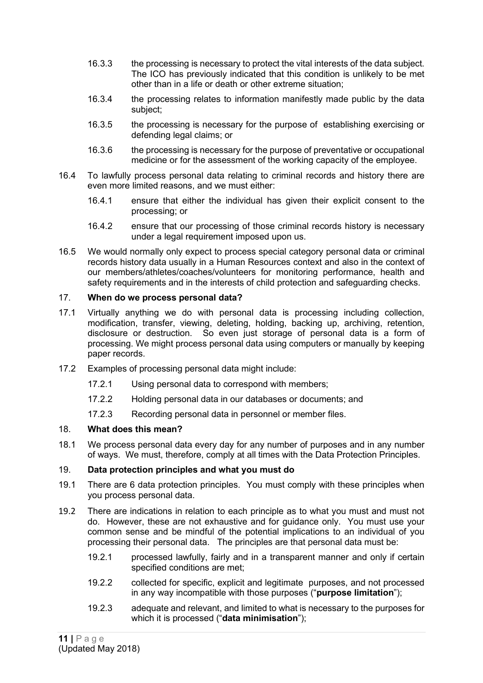- 16.3.3 the processing is necessary to protect the vital interests of the data subject. The ICO has previously indicated that this condition is unlikely to be met other than in a life or death or other extreme situation;
- 16.3.4 the processing relates to information manifestly made public by the data subject;
- 16.3.5 the processing is necessary for the purpose of establishing exercising or defending legal claims; or
- 16.3.6 the processing is necessary for the purpose of preventative or occupational medicine or for the assessment of the working capacity of the employee.
- 16.4 To lawfully process personal data relating to criminal records and history there are even more limited reasons, and we must either:
	- 16.4.1 ensure that either the individual has given their explicit consent to the processing; or
	- 16.4.2 ensure that our processing of those criminal records history is necessary under a legal requirement imposed upon us.
- 16.5 We would normally only expect to process special category personal data or criminal records history data usually in a Human Resources context and also in the context of our members/athletes/coaches/volunteers for monitoring performance, health and safety requirements and in the interests of child protection and safeguarding checks.

### 17. **When do we process personal data?**

- 17.1 Virtually anything we do with personal data is processing including collection, modification, transfer, viewing, deleting, holding, backing up, archiving, retention, disclosure or destruction. So even just storage of personal data is a form of processing. We might process personal data using computers or manually by keeping paper records.
- 17.2 Examples of processing personal data might include:
	- 17.2.1 Using personal data to correspond with members;
	- 17.2.2 Holding personal data in our databases or documents; and
	- 17.2.3 Recording personal data in personnel or member files.

#### 18. **What does this mean?**

18.1 We process personal data every day for any number of purposes and in any number of ways. We must, therefore, comply at all times with the Data Protection Principles.

#### 19. **Data protection principles and what you must do**

- 19.1 There are 6 data protection principles. You must comply with these principles when you process personal data.
- 19.2 There are indications in relation to each principle as to what you must and must not do. However, these are not exhaustive and for guidance only. You must use your common sense and be mindful of the potential implications to an individual of you processing their personal data. The principles are that personal data must be:
	- 19.2.1 processed lawfully, fairly and in a transparent manner and only if certain specified conditions are met;
	- 19.2.2 collected for specific, explicit and legitimate purposes, and not processed in any way incompatible with those purposes ("**purpose limitation**");
	- 19.2.3 adequate and relevant, and limited to what is necessary to the purposes for which it is processed ("**data minimisation**");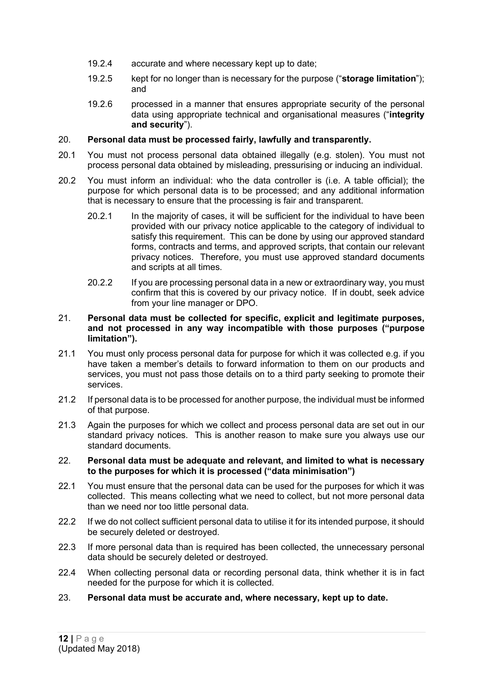- 19.2.4 accurate and where necessary kept up to date;
- 19.2.5 kept for no longer than is necessary for the purpose ("**storage limitation**"); and
- 19.2.6 processed in a manner that ensures appropriate security of the personal data using appropriate technical and organisational measures ("**integrity and security**").

### 20. **Personal data must be processed fairly, lawfully and transparently.**

- 20.1 You must not process personal data obtained illegally (e.g. stolen). You must not process personal data obtained by misleading, pressurising or inducing an individual.
- 20.2 You must inform an individual: who the data controller is (i.e. A table official); the purpose for which personal data is to be processed; and any additional information that is necessary to ensure that the processing is fair and transparent.
	- 20.2.1 In the majority of cases, it will be sufficient for the individual to have been provided with our privacy notice applicable to the category of individual to satisfy this requirement. This can be done by using our approved standard forms, contracts and terms, and approved scripts, that contain our relevant privacy notices. Therefore, you must use approved standard documents and scripts at all times.
	- 20.2.2 If you are processing personal data in a new or extraordinary way, you must confirm that this is covered by our privacy notice. If in doubt, seek advice from your line manager or DPO.

#### 21. **Personal data must be collected for specific, explicit and legitimate purposes, and not processed in any way incompatible with those purposes ("purpose limitation").**

- 21.1 You must only process personal data for purpose for which it was collected e.g. if you have taken a member's details to forward information to them on our products and services, you must not pass those details on to a third party seeking to promote their services.
- 21.2 If personal data is to be processed for another purpose, the individual must be informed of that purpose.
- 21.3 Again the purposes for which we collect and process personal data are set out in our standard privacy notices. This is another reason to make sure you always use our standard documents.

#### 22. **Personal data must be adequate and relevant, and limited to what is necessary to the purposes for which it is processed ("data minimisation")**

- 22.1 You must ensure that the personal data can be used for the purposes for which it was collected. This means collecting what we need to collect, but not more personal data than we need nor too little personal data.
- 22.2 If we do not collect sufficient personal data to utilise it for its intended purpose, it should be securely deleted or destroyed.
- 22.3 If more personal data than is required has been collected, the unnecessary personal data should be securely deleted or destroyed.
- 22.4 When collecting personal data or recording personal data, think whether it is in fact needed for the purpose for which it is collected.
- 23. **Personal data must be accurate and, where necessary, kept up to date.**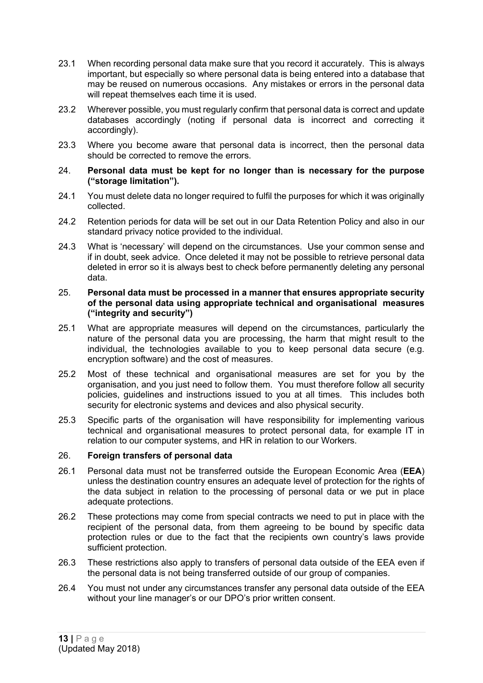- 23.1 When recording personal data make sure that you record it accurately. This is always important, but especially so where personal data is being entered into a database that may be reused on numerous occasions. Any mistakes or errors in the personal data will repeat themselves each time it is used.
- 23.2 Wherever possible, you must regularly confirm that personal data is correct and update databases accordingly (noting if personal data is incorrect and correcting it accordingly).
- 23.3 Where you become aware that personal data is incorrect, then the personal data should be corrected to remove the errors.
- 24. **Personal data must be kept for no longer than is necessary for the purpose ("storage limitation").**
- 24.1 You must delete data no longer required to fulfil the purposes for which it was originally collected.
- 24.2 Retention periods for data will be set out in our Data Retention Policy and also in our standard privacy notice provided to the individual.
- 24.3 What is 'necessary' will depend on the circumstances. Use your common sense and if in doubt, seek advice. Once deleted it may not be possible to retrieve personal data deleted in error so it is always best to check before permanently deleting any personal data.

#### 25. **Personal data must be processed in a manner that ensures appropriate security of the personal data using appropriate technical and organisational measures ("integrity and security")**

- 25.1 What are appropriate measures will depend on the circumstances, particularly the nature of the personal data you are processing, the harm that might result to the individual, the technologies available to you to keep personal data secure (e.g. encryption software) and the cost of measures.
- 25.2 Most of these technical and organisational measures are set for you by the organisation, and you just need to follow them. You must therefore follow all security policies, guidelines and instructions issued to you at all times. This includes both security for electronic systems and devices and also physical security.
- 25.3 Specific parts of the organisation will have responsibility for implementing various technical and organisational measures to protect personal data, for example IT in relation to our computer systems, and HR in relation to our Workers.

#### 26. **Foreign transfers of personal data**

- 26.1 Personal data must not be transferred outside the European Economic Area (**EEA**) unless the destination country ensures an adequate level of protection for the rights of the data subject in relation to the processing of personal data or we put in place adequate protections.
- 26.2 These protections may come from special contracts we need to put in place with the recipient of the personal data, from them agreeing to be bound by specific data protection rules or due to the fact that the recipients own country's laws provide sufficient protection.
- 26.3 These restrictions also apply to transfers of personal data outside of the EEA even if the personal data is not being transferred outside of our group of companies.
- 26.4 You must not under any circumstances transfer any personal data outside of the EEA without your line manager's or our DPO's prior written consent.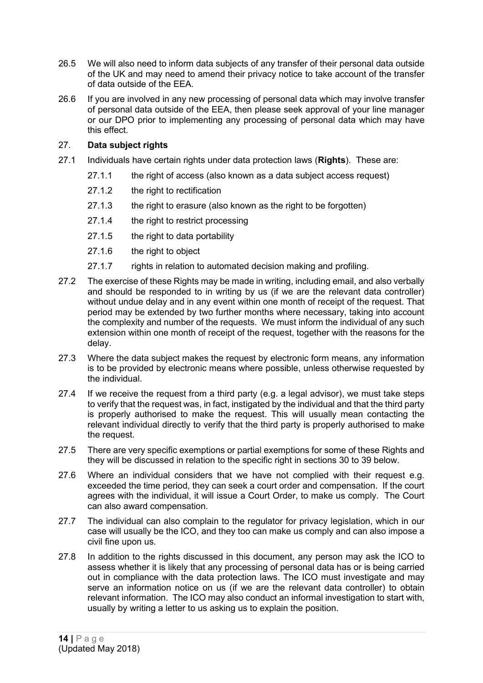- 26.5 We will also need to inform data subjects of any transfer of their personal data outside of the UK and may need to amend their privacy notice to take account of the transfer of data outside of the EEA.
- 26.6 If you are involved in any new processing of personal data which may involve transfer of personal data outside of the EEA, then please seek approval of your line manager or our DPO prior to implementing any processing of personal data which may have this effect.

# 27. **Data subject rights**

- 27.1 Individuals have certain rights under data protection laws (**Rights**). These are:
	- 27.1.1 the right of access (also known as a data subject access request)
	- 27.1.2 the right to rectification
	- 27.1.3 the right to erasure (also known as the right to be forgotten)
	- 27.1.4 the right to restrict processing
	- 27.1.5 the right to data portability
	- 27.1.6 the right to object
	- 27.1.7 rights in relation to automated decision making and profiling.
- 27.2 The exercise of these Rights may be made in writing, including email, and also verbally and should be responded to in writing by us (if we are the relevant data controller) without undue delay and in any event within one month of receipt of the request. That period may be extended by two further months where necessary, taking into account the complexity and number of the requests. We must inform the individual of any such extension within one month of receipt of the request, together with the reasons for the delay.
- 27.3 Where the data subject makes the request by electronic form means, any information is to be provided by electronic means where possible, unless otherwise requested by the individual.
- 27.4 If we receive the request from a third party (e.g. a legal advisor), we must take steps to verify that the request was, in fact, instigated by the individual and that the third party is properly authorised to make the request. This will usually mean contacting the relevant individual directly to verify that the third party is properly authorised to make the request.
- 27.5 There are very specific exemptions or partial exemptions for some of these Rights and they will be discussed in relation to the specific right in sections [30](#page-16-0) to [39](#page-22-0) below.
- 27.6 Where an individual considers that we have not complied with their request e.g. exceeded the time period, they can seek a court order and compensation. If the court agrees with the individual, it will issue a Court Order, to make us comply. The Court can also award compensation.
- 27.7 The individual can also complain to the regulator for privacy legislation, which in our case will usually be the ICO, and they too can make us comply and can also impose a civil fine upon us.
- 27.8 In addition to the rights discussed in this document, any person may ask the ICO to assess whether it is likely that any processing of personal data has or is being carried out in compliance with the data protection laws. The ICO must investigate and may serve an information notice on us (if we are the relevant data controller) to obtain relevant information. The ICO may also conduct an informal investigation to start with, usually by writing a letter to us asking us to explain the position.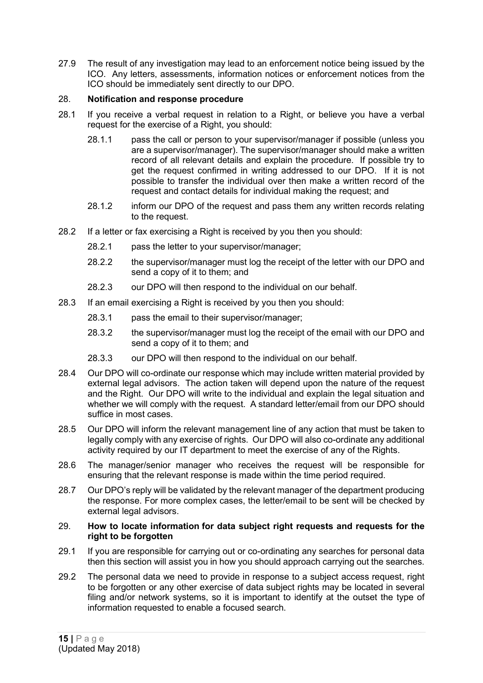27.9 The result of any investigation may lead to an enforcement notice being issued by the ICO. Any letters, assessments, information notices or enforcement notices from the ICO should be immediately sent directly to our DPO.

# 28. **Notification and response procedure**

- 28.1 If you receive a verbal request in relation to a Right, or believe you have a verbal request for the exercise of a Right, you should:
	- 28.1.1 pass the call or person to your supervisor/manager if possible (unless you are a supervisor/manager). The supervisor/manager should make a written record of all relevant details and explain the procedure. If possible try to get the request confirmed in writing addressed to our DPO. If it is not possible to transfer the individual over then make a written record of the request and contact details for individual making the request; and
	- 28.1.2 inform our DPO of the request and pass them any written records relating to the request.
- 28.2 If a letter or fax exercising a Right is received by you then you should:
	- 28.2.1 pass the letter to your supervisor/manager;
	- 28.2.2 the supervisor/manager must log the receipt of the letter with our DPO and send a copy of it to them; and
	- 28.2.3 our DPO will then respond to the individual on our behalf.
- 28.3 If an email exercising a Right is received by you then you should:
	- 28.3.1 pass the email to their supervisor/manager;
	- 28.3.2 the supervisor/manager must log the receipt of the email with our DPO and send a copy of it to them; and
	- 28.3.3 our DPO will then respond to the individual on our behalf.
- 28.4 Our DPO will co-ordinate our response which may include written material provided by external legal advisors. The action taken will depend upon the nature of the request and the Right. Our DPO will write to the individual and explain the legal situation and whether we will comply with the request. A standard letter/email from our DPO should suffice in most cases.
- 28.5 Our DPO will inform the relevant management line of any action that must be taken to legally comply with any exercise of rights. Our DPO will also co-ordinate any additional activity required by our IT department to meet the exercise of any of the Rights.
- 28.6 The manager/senior manager who receives the request will be responsible for ensuring that the relevant response is made within the time period required.
- 28.7 Our DPO's reply will be validated by the relevant manager of the department producing the response. For more complex cases, the letter/email to be sent will be checked by external legal advisors.
- 29. **How to locate information for data subject right requests and requests for the right to be forgotten**
- 29.1 If you are responsible for carrying out or co-ordinating any searches for personal data then this section will assist you in how you should approach carrying out the searches.
- 29.2 The personal data we need to provide in response to a subject access request, right to be forgotten or any other exercise of data subject rights may be located in several filing and/or network systems, so it is important to identify at the outset the type of information requested to enable a focused search.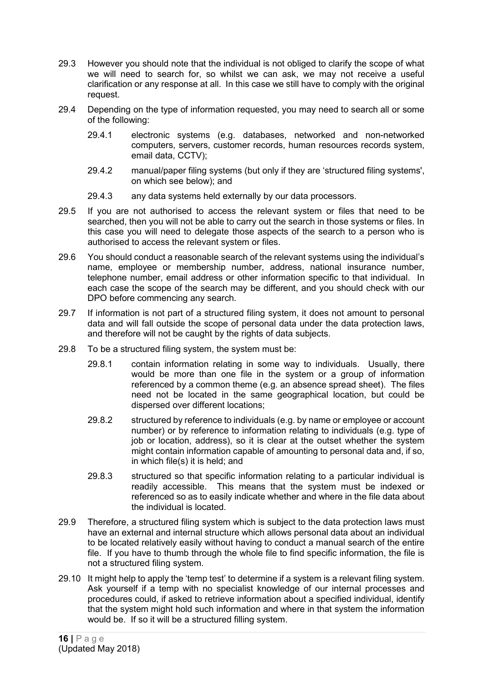- 29.3 However you should note that the individual is not obliged to clarify the scope of what we will need to search for, so whilst we can ask, we may not receive a useful clarification or any response at all. In this case we still have to comply with the original request.
- 29.4 Depending on the type of information requested, you may need to search all or some of the following:
	- 29.4.1 electronic systems (e.g. databases, networked and non-networked computers, servers, customer records, human resources records system, email data, CCTV);
	- 29.4.2 manual/paper filing systems (but only if they are 'structured filing systems', on which see below); and
	- 29.4.3 any data systems held externally by our data processors.
- 29.5 If you are not authorised to access the relevant system or files that need to be searched, then you will not be able to carry out the search in those systems or files. In this case you will need to delegate those aspects of the search to a person who is authorised to access the relevant system or files.
- 29.6 You should conduct a reasonable search of the relevant systems using the individual's name, employee or membership number, address, national insurance number, telephone number, email address or other information specific to that individual. In each case the scope of the search may be different, and you should check with our DPO before commencing any search.
- 29.7 If information is not part of a structured filing system, it does not amount to personal data and will fall outside the scope of personal data under the data protection laws, and therefore will not be caught by the rights of data subjects.
- 29.8 To be a structured filing system, the system must be:
	- 29.8.1 contain information relating in some way to individuals. Usually, there would be more than one file in the system or a group of information referenced by a common theme (e.g. an absence spread sheet). The files need not be located in the same geographical location, but could be dispersed over different locations;
	- 29.8.2 structured by reference to individuals (e.g. by name or employee or account number) or by reference to information relating to individuals (e.g. type of job or location, address), so it is clear at the outset whether the system might contain information capable of amounting to personal data and, if so, in which file(s) it is held; and
	- 29.8.3 structured so that specific information relating to a particular individual is readily accessible. This means that the system must be indexed or referenced so as to easily indicate whether and where in the file data about the individual is located.
- 29.9 Therefore, a structured filing system which is subject to the data protection laws must have an external and internal structure which allows personal data about an individual to be located relatively easily without having to conduct a manual search of the entire file. If you have to thumb through the whole file to find specific information, the file is not a structured filing system.
- 29.10 It might help to apply the 'temp test' to determine if a system is a relevant filing system. Ask yourself if a temp with no specialist knowledge of our internal processes and procedures could, if asked to retrieve information about a specified individual, identify that the system might hold such information and where in that system the information would be. If so it will be a structured filling system.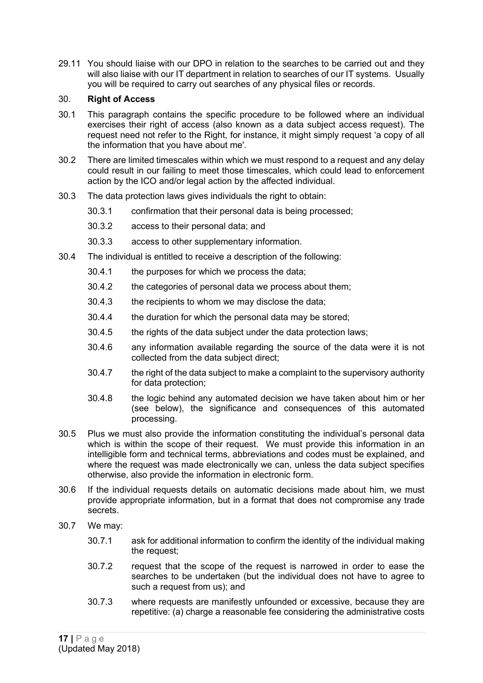29.11 You should liaise with our DPO in relation to the searches to be carried out and they will also liaise with our IT department in relation to searches of our IT systems. Usually you will be required to carry out searches of any physical files or records.

# <span id="page-16-0"></span>30. **Right of Access**

- 30.1 This paragraph contains the specific procedure to be followed where an individual exercises their right of access (also known as a data subject access request). The request need not refer to the Right, for instance, it might simply request 'a copy of all the information that you have about me'.
- 30.2 There are limited timescales within which we must respond to a request and any delay could result in our failing to meet those timescales, which could lead to enforcement action by the ICO and/or legal action by the affected individual.
- 30.3 The data protection laws gives individuals the right to obtain:
	- 30.3.1 confirmation that their personal data is being processed;
	- 30.3.2 access to their personal data; and
	- 30.3.3 access to other supplementary information.
- 30.4 The individual is entitled to receive a description of the following:
	- 30.4.1 the purposes for which we process the data;
	- 30.4.2 the categories of personal data we process about them;
	- 30.4.3 the recipients to whom we may disclose the data;
	- 30.4.4 the duration for which the personal data may be stored;
	- 30.4.5 the rights of the data subject under the data protection laws;
	- 30.4.6 any information available regarding the source of the data were it is not collected from the data subject direct;
	- 30.4.7 the right of the data subject to make a complaint to the supervisory authority for data protection;
	- 30.4.8 the logic behind any automated decision we have taken about him or her (see below), the significance and consequences of this automated processing.
- 30.5 Plus we must also provide the information constituting the individual's personal data which is within the scope of their request. We must provide this information in an intelligible form and technical terms, abbreviations and codes must be explained, and where the request was made electronically we can, unless the data subject specifies otherwise, also provide the information in electronic form.
- 30.6 If the individual requests details on automatic decisions made about him, we must provide appropriate information, but in a format that does not compromise any trade secrets.
- 30.7 We may:
	- 30.7.1 ask for additional information to confirm the identity of the individual making the request;
	- 30.7.2 request that the scope of the request is narrowed in order to ease the searches to be undertaken (but the individual does not have to agree to such a request from us); and
	- 30.7.3 where requests are manifestly unfounded or excessive, because they are repetitive: (a) charge a reasonable fee considering the administrative costs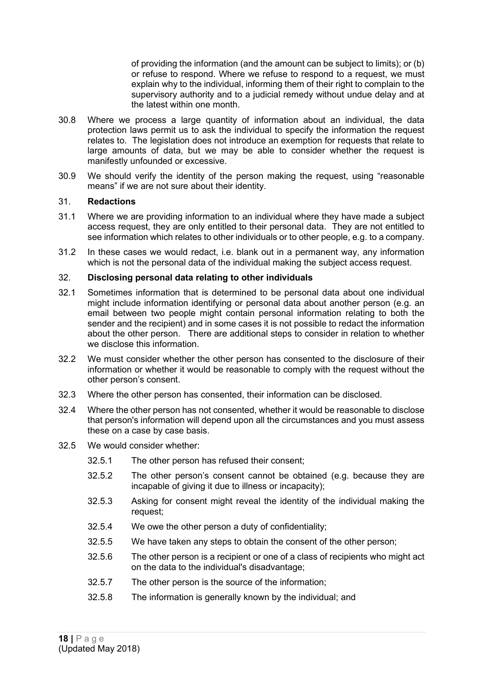of providing the information (and the amount can be subject to limits); or (b) or refuse to respond. Where we refuse to respond to a request, we must explain why to the individual, informing them of their right to complain to the supervisory authority and to a judicial remedy without undue delay and at the latest within one month.

- 30.8 Where we process a large quantity of information about an individual, the data protection laws permit us to ask the individual to specify the information the request relates to. The legislation does not introduce an exemption for requests that relate to large amounts of data, but we may be able to consider whether the request is manifestly unfounded or excessive.
- 30.9 We should verify the identity of the person making the request, using "reasonable means" if we are not sure about their identity.

### 31. **Redactions**

- 31.1 Where we are providing information to an individual where they have made a subject access request, they are only entitled to their personal data. They are not entitled to see information which relates to other individuals or to other people, e.g. to a company.
- 31.2 In these cases we would redact, i.e. blank out in a permanent way, any information which is not the personal data of the individual making the subject access request.

#### 32. **Disclosing personal data relating to other individuals**

- 32.1 Sometimes information that is determined to be personal data about one individual might include information identifying or personal data about another person (e.g. an email between two people might contain personal information relating to both the sender and the recipient) and in some cases it is not possible to redact the information about the other person. There are additional steps to consider in relation to whether we disclose this information.
- 32.2 We must consider whether the other person has consented to the disclosure of their information or whether it would be reasonable to comply with the request without the other person's consent.
- 32.3 Where the other person has consented, their information can be disclosed.
- 32.4 Where the other person has not consented, whether it would be reasonable to disclose that person's information will depend upon all the circumstances and you must assess these on a case by case basis.
- 32.5 We would consider whether:
	- 32.5.1 The other person has refused their consent;
	- 32.5.2 The other person's consent cannot be obtained (e.g. because they are incapable of giving it due to illness or incapacity);
	- 32.5.3 Asking for consent might reveal the identity of the individual making the request;
	- 32.5.4 We owe the other person a duty of confidentiality;
	- 32.5.5 We have taken any steps to obtain the consent of the other person;
	- 32.5.6 The other person is a recipient or one of a class of recipients who might act on the data to the individual's disadvantage;
	- 32.5.7 The other person is the source of the information;
	- 32.5.8 The information is generally known by the individual; and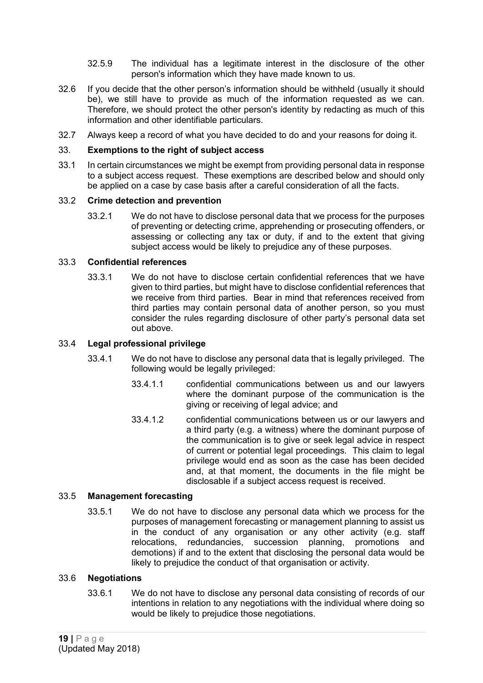- 32.5.9 The individual has a legitimate interest in the disclosure of the other person's information which they have made known to us.
- 32.6 If you decide that the other person's information should be withheld (usually it should be), we still have to provide as much of the information requested as we can. Therefore, we should protect the other person's identity by redacting as much of this information and other identifiable particulars.
- 32.7 Always keep a record of what you have decided to do and your reasons for doing it.

### 33. **Exemptions to the right of subject access**

33.1 In certain circumstances we might be exempt from providing personal data in response to a subject access request. These exemptions are described below and should only be applied on a case by case basis after a careful consideration of all the facts.

### 33.2 **Crime detection and prevention**

33.2.1 We do not have to disclose personal data that we process for the purposes of preventing or detecting crime, apprehending or prosecuting offenders, or assessing or collecting any tax or duty, if and to the extent that giving subject access would be likely to prejudice any of these purposes.

#### 33.3 **Confidential references**

33.3.1 We do not have to disclose certain confidential references that we have given to third parties, but might have to disclose confidential references that we receive from third parties. Bear in mind that references received from third parties may contain personal data of another person, so you must consider the rules regarding disclosure of other party's personal data set out above.

### 33.4 **Legal professional privilege**

- 33.4.1 We do not have to disclose any personal data that is legally privileged. The following would be legally privileged:
	- 33.4.1.1 confidential communications between us and our lawyers where the dominant purpose of the communication is the giving or receiving of legal advice; and
	- 33.4.1.2 confidential communications between us or our lawyers and a third party (e.g. a witness) where the dominant purpose of the communication is to give or seek legal advice in respect of current or potential legal proceedings. This claim to legal privilege would end as soon as the case has been decided and, at that moment, the documents in the file might be disclosable if a subject access request is received.

# 33.5 **Management forecasting**

33.5.1 We do not have to disclose any personal data which we process for the purposes of management forecasting or management planning to assist us in the conduct of any organisation or any other activity (e.g. staff relocations, redundancies, succession planning, promotions and demotions) if and to the extent that disclosing the personal data would be likely to prejudice the conduct of that organisation or activity.

#### 33.6 **Negotiations**

33.6.1 We do not have to disclose any personal data consisting of records of our intentions in relation to any negotiations with the individual where doing so would be likely to prejudice those negotiations.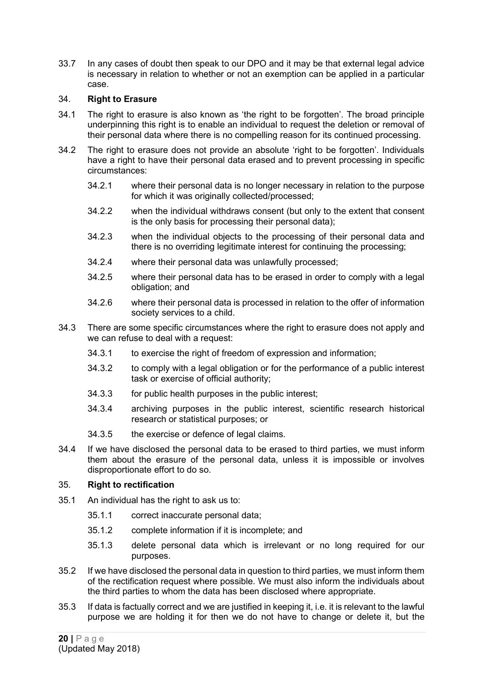33.7 In any cases of doubt then speak to our DPO and it may be that external legal advice is necessary in relation to whether or not an exemption can be applied in a particular case.

# 34. **Right to Erasure**

- 34.1 The right to erasure is also known as 'the right to be forgotten'. The broad principle underpinning this right is to enable an individual to request the deletion or removal of their personal data where there is no compelling reason for its continued processing.
- 34.2 The right to erasure does not provide an absolute 'right to be forgotten'. Individuals have a right to have their personal data erased and to prevent processing in specific circumstances:
	- 34.2.1 where their personal data is no longer necessary in relation to the purpose for which it was originally collected/processed:
	- 34.2.2 when the individual withdraws consent (but only to the extent that consent is the only basis for processing their personal data);
	- 34.2.3 when the individual objects to the processing of their personal data and there is no overriding legitimate interest for continuing the processing;
	- 34.2.4 where their personal data was unlawfully processed;
	- 34.2.5 where their personal data has to be erased in order to comply with a legal obligation; and
	- 34.2.6 where their personal data is processed in relation to the offer of information society services to a child.
- 34.3 There are some specific circumstances where the right to erasure does not apply and we can refuse to deal with a request:
	- 34.3.1 to exercise the right of freedom of expression and information;
	- 34.3.2 to comply with a legal obligation or for the performance of a public interest task or exercise of official authority;
	- 34.3.3 for public health purposes in the public interest;
	- 34.3.4 archiving purposes in the public interest, scientific research historical research or statistical purposes; or
	- 34.3.5 the exercise or defence of legal claims.
- 34.4 If we have disclosed the personal data to be erased to third parties, we must inform them about the erasure of the personal data, unless it is impossible or involves disproportionate effort to do so.

#### 35. **Right to rectification**

- 35.1 An individual has the right to ask us to:
	- 35.1.1 correct inaccurate personal data;
	- 35.1.2 complete information if it is incomplete; and
	- 35.1.3 delete personal data which is irrelevant or no long required for our purposes.
- 35.2 If we have disclosed the personal data in question to third parties, we must inform them of the rectification request where possible. We must also inform the individuals about the third parties to whom the data has been disclosed where appropriate.
- 35.3 If data is factually correct and we are justified in keeping it, i.e. it is relevant to the lawful purpose we are holding it for then we do not have to change or delete it, but the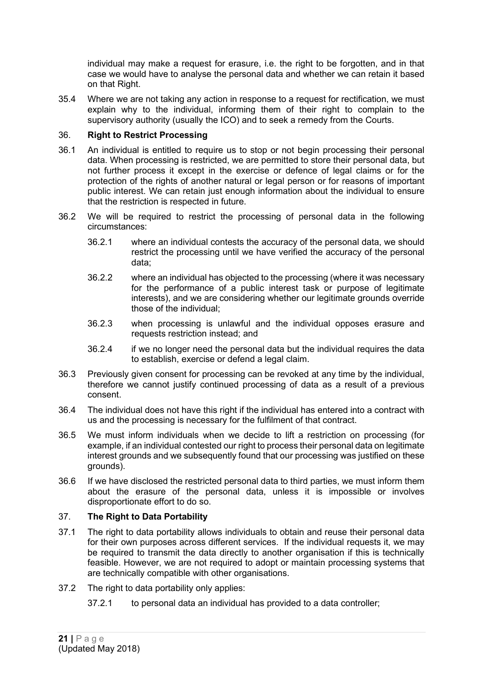individual may make a request for erasure, i.e. the right to be forgotten, and in that case we would have to analyse the personal data and whether we can retain it based on that Right.

35.4 Where we are not taking any action in response to a request for rectification, we must explain why to the individual, informing them of their right to complain to the supervisory authority (usually the ICO) and to seek a remedy from the Courts.

### 36. **Right to Restrict Processing**

- 36.1 An individual is entitled to require us to stop or not begin processing their personal data. When processing is restricted, we are permitted to store their personal data, but not further process it except in the exercise or defence of legal claims or for the protection of the rights of another natural or legal person or for reasons of important public interest. We can retain just enough information about the individual to ensure that the restriction is respected in future.
- 36.2 We will be required to restrict the processing of personal data in the following circumstances:
	- 36.2.1 where an individual contests the accuracy of the personal data, we should restrict the processing until we have verified the accuracy of the personal data;
	- 36.2.2 where an individual has objected to the processing (where it was necessary for the performance of a public interest task or purpose of legitimate interests), and we are considering whether our legitimate grounds override those of the individual;
	- 36.2.3 when processing is unlawful and the individual opposes erasure and requests restriction instead; and
	- 36.2.4 if we no longer need the personal data but the individual requires the data to establish, exercise or defend a legal claim.
- 36.3 Previously given consent for processing can be revoked at any time by the individual, therefore we cannot justify continued processing of data as a result of a previous consent.
- 36.4 The individual does not have this right if the individual has entered into a contract with us and the processing is necessary for the fulfilment of that contract.
- 36.5 We must inform individuals when we decide to lift a restriction on processing (for example, if an individual contested our right to process their personal data on legitimate interest grounds and we subsequently found that our processing was justified on these grounds).
- 36.6 If we have disclosed the restricted personal data to third parties, we must inform them about the erasure of the personal data, unless it is impossible or involves disproportionate effort to do so.

# 37. **The Right to Data Portability**

- 37.1 The right to data portability allows individuals to obtain and reuse their personal data for their own purposes across different services. If the individual requests it, we may be required to transmit the data directly to another organisation if this is technically feasible. However, we are not required to adopt or maintain processing systems that are technically compatible with other organisations.
- 37.2 The right to data portability only applies:
	- 37.2.1 to personal data an individual has provided to a data controller;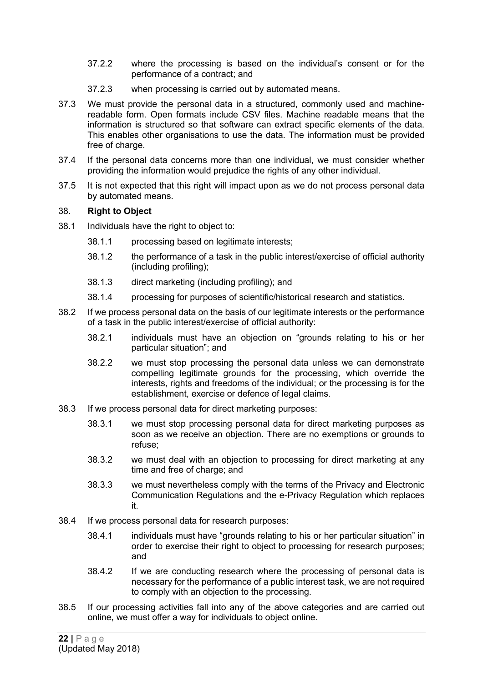- 37.2.2 where the processing is based on the individual's consent or for the performance of a contract; and
- 37.2.3 when processing is carried out by automated means.
- 37.3 We must provide the personal data in a structured, commonly used and machinereadable form. Open formats include CSV files. Machine readable means that the information is structured so that software can extract specific elements of the data. This enables other organisations to use the data. The information must be provided free of charge.
- 37.4 If the personal data concerns more than one individual, we must consider whether providing the information would prejudice the rights of any other individual.
- 37.5 It is not expected that this right will impact upon as we do not process personal data by automated means.

### 38. **Right to Object**

- 38.1 Individuals have the right to object to:
	- 38.1.1 processing based on legitimate interests;
	- 38.1.2 the performance of a task in the public interest/exercise of official authority (including profiling);
	- 38.1.3 direct marketing (including profiling); and
	- 38.1.4 processing for purposes of scientific/historical research and statistics.
- 38.2 If we process personal data on the basis of our legitimate interests or the performance of a task in the public interest/exercise of official authority:
	- 38.2.1 individuals must have an objection on "grounds relating to his or her particular situation"; and
	- 38.2.2 we must stop processing the personal data unless we can demonstrate compelling legitimate grounds for the processing, which override the interests, rights and freedoms of the individual; or the processing is for the establishment, exercise or defence of legal claims.
- 38.3 If we process personal data for direct marketing purposes:
	- 38.3.1 we must stop processing personal data for direct marketing purposes as soon as we receive an objection. There are no exemptions or grounds to refuse;
	- 38.3.2 we must deal with an objection to processing for direct marketing at any time and free of charge; and
	- 38.3.3 we must nevertheless comply with the terms of the Privacy and Electronic Communication Regulations and the e-Privacy Regulation which replaces it.
- 38.4 If we process personal data for research purposes:
	- 38.4.1 individuals must have "grounds relating to his or her particular situation" in order to exercise their right to object to processing for research purposes; and
	- 38.4.2 If we are conducting research where the processing of personal data is necessary for the performance of a public interest task, we are not required to comply with an objection to the processing.
- 38.5 If our processing activities fall into any of the above categories and are carried out online, we must offer a way for individuals to object online.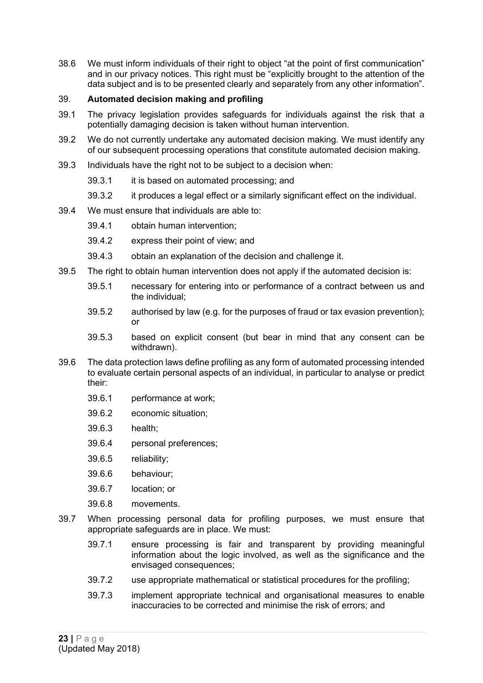38.6 We must inform individuals of their right to object "at the point of first communication" and in our privacy notices. This right must be "explicitly brought to the attention of the data subject and is to be presented clearly and separately from any other information".

# <span id="page-22-0"></span>39. **Automated decision making and profiling**

- 39.1 The privacy legislation provides safeguards for individuals against the risk that a potentially damaging decision is taken without human intervention.
- 39.2 We do not currently undertake any automated decision making*.* We must identify any of our subsequent processing operations that constitute automated decision making.
- 39.3 Individuals have the right not to be subject to a decision when:
	- 39.3.1 it is based on automated processing; and
	- 39.3.2 it produces a legal effect or a similarly significant effect on the individual.
- 39.4 We must ensure that individuals are able to:
	- 39.4.1 obtain human intervention;
	- 39.4.2 express their point of view; and
	- 39.4.3 obtain an explanation of the decision and challenge it.
- 39.5 The right to obtain human intervention does not apply if the automated decision is:
	- 39.5.1 necessary for entering into or performance of a contract between us and the individual;
	- 39.5.2 authorised by law (e.g. for the purposes of fraud or tax evasion prevention); or
	- 39.5.3 based on explicit consent (but bear in mind that any consent can be withdrawn).
- 39.6 The data protection laws define profiling as any form of automated processing intended to evaluate certain personal aspects of an individual, in particular to analyse or predict their:
	- 39.6.1 performance at work;
	- 39.6.2 economic situation;
	- 39.6.3 health;
	- 39.6.4 personal preferences;
	- 39.6.5 reliability;
	- 39.6.6 behaviour;
	- 39.6.7 location; or
	- 39.6.8 movements.
- 39.7 When processing personal data for profiling purposes, we must ensure that appropriate safeguards are in place. We must:
	- 39.7.1 ensure processing is fair and transparent by providing meaningful information about the logic involved, as well as the significance and the envisaged consequences;
	- 39.7.2 use appropriate mathematical or statistical procedures for the profiling;
	- 39.7.3 implement appropriate technical and organisational measures to enable inaccuracies to be corrected and minimise the risk of errors; and